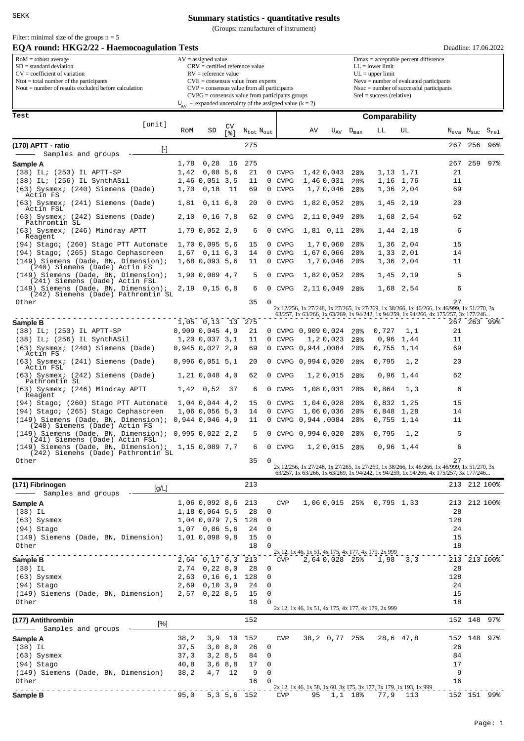Filter: minimal size of the groups  $n = 5$ 

## **Summary statistics - quantitative results**

(Groups: manufacturer of instrument)

| EQA round: HKG2/22 - Haemocoagulation Tests                                                                                                                                                                                                                                                                                                                                                                                                                                                                                                                                                                                                                                                                                                                                                                                                                                                                                          |                                                                                                                  |                                                               |                      |                                   |        |                            |                    |                                                                                                                                                                                     |                                    |                                                                              |                        |                                                                                                  |         | Deadline: 17.06.2022        |  |  |  |  |
|--------------------------------------------------------------------------------------------------------------------------------------------------------------------------------------------------------------------------------------------------------------------------------------------------------------------------------------------------------------------------------------------------------------------------------------------------------------------------------------------------------------------------------------------------------------------------------------------------------------------------------------------------------------------------------------------------------------------------------------------------------------------------------------------------------------------------------------------------------------------------------------------------------------------------------------|------------------------------------------------------------------------------------------------------------------|---------------------------------------------------------------|----------------------|-----------------------------------|--------|----------------------------|--------------------|-------------------------------------------------------------------------------------------------------------------------------------------------------------------------------------|------------------------------------|------------------------------------------------------------------------------|------------------------|--------------------------------------------------------------------------------------------------|---------|-----------------------------|--|--|--|--|
| $RoM =$ robust average<br>$AV = assigned value$<br>$SD = standard deviation$<br>$CRV =$ certified reference value                                                                                                                                                                                                                                                                                                                                                                                                                                                                                                                                                                                                                                                                                                                                                                                                                    |                                                                                                                  |                                                               |                      |                                   |        |                            |                    |                                                                                                                                                                                     |                                    | $Dmax = acceptable percent difference$<br>$LL =$ lower limit                 |                        |                                                                                                  |         |                             |  |  |  |  |
| $CV = coefficient of variation$<br>$N$ tot = total number of the participants                                                                                                                                                                                                                                                                                                                                                                                                                                                                                                                                                                                                                                                                                                                                                                                                                                                        | $RV =$ reference value<br>$CVE = \text{consensus value from experts}$                                            |                                                               |                      |                                   |        |                            |                    |                                                                                                                                                                                     |                                    | $UL = upper limit$<br>Neva = number of evaluated participants                |                        |                                                                                                  |         |                             |  |  |  |  |
| Nout $=$ number of results excluded before calculation                                                                                                                                                                                                                                                                                                                                                                                                                                                                                                                                                                                                                                                                                                                                                                                                                                                                               | $CVP = \text{consensus value from all participants}$<br>$CVPG = \text{consensus value from participants groups}$ |                                                               |                      |                                   |        |                            |                    |                                                                                                                                                                                     |                                    | $N$ suc $=$ number of successful participants<br>$Srel = success$ (relative) |                        |                                                                                                  |         |                             |  |  |  |  |
|                                                                                                                                                                                                                                                                                                                                                                                                                                                                                                                                                                                                                                                                                                                                                                                                                                                                                                                                      |                                                                                                                  | $U_{AV}$ = expanded uncertainty of the assigned value (k = 2) |                      |                                   |        |                            |                    |                                                                                                                                                                                     |                                    |                                                                              |                        |                                                                                                  |         |                             |  |  |  |  |
| Test                                                                                                                                                                                                                                                                                                                                                                                                                                                                                                                                                                                                                                                                                                                                                                                                                                                                                                                                 |                                                                                                                  |                                                               |                      |                                   |        |                            |                    |                                                                                                                                                                                     |                                    | Comparability                                                                |                        |                                                                                                  |         |                             |  |  |  |  |
| [unit]                                                                                                                                                                                                                                                                                                                                                                                                                                                                                                                                                                                                                                                                                                                                                                                                                                                                                                                               | RoM                                                                                                              | SD                                                            | CV                   | $N_{\text{tot}}$ $N_{\text{out}}$ |        |                            | AV                 | $U_{AV}$                                                                                                                                                                            | $D_{\text{max}}$                   | LЬ                                                                           | UL                     | N <sub>eva</sub> N <sub>suc</sub>                                                                |         | $\mathtt{S}_{\mathtt{rel}}$ |  |  |  |  |
|                                                                                                                                                                                                                                                                                                                                                                                                                                                                                                                                                                                                                                                                                                                                                                                                                                                                                                                                      |                                                                                                                  |                                                               | $s$ ]                |                                   |        |                            |                    |                                                                                                                                                                                     |                                    |                                                                              |                        |                                                                                                  |         |                             |  |  |  |  |
| (170) APTT - ratio<br>$[\cdot] % \centering \includegraphics[width=0.9\textwidth]{images/TrDiM-Architecture.png} % \caption{The first two different values of $S$ and $S$ are shown in the left, the first two different values of $S$ and $S$ are shown in the right, and the second two different values of $S$ are shown in the right, and the second two different values of $S$ are shown in the right, and the second two different values of $S$ are shown in the right, and the third two different values of $S$ are shown in the right, and the third two different values of $S$ are shown in the right, and the third two different values of $S$ are shown in the right, and the third two different values of $S$ are shown in the right, and the third two different values of $S$ are shown in the right, and the third two different values of $S$ are shown in the right, and the third two$<br>Samples and groups |                                                                                                                  |                                                               |                      | 275                               |        |                            |                    |                                                                                                                                                                                     |                                    |                                                                              |                        | 267                                                                                              | 256     | 96%                         |  |  |  |  |
| Sample A                                                                                                                                                                                                                                                                                                                                                                                                                                                                                                                                                                                                                                                                                                                                                                                                                                                                                                                             | 1,78                                                                                                             | 0,28                                                          | 16                   | 275                               |        |                            |                    |                                                                                                                                                                                     |                                    |                                                                              |                        | 267                                                                                              | 259     | 97%                         |  |  |  |  |
| $(38)$ IL; $(253)$ IL APTT-SP                                                                                                                                                                                                                                                                                                                                                                                                                                                                                                                                                                                                                                                                                                                                                                                                                                                                                                        | 1,42                                                                                                             | 0,08                                                          | 5,6                  | 21                                |        | 0 CVPG                     |                    | 1,420,043                                                                                                                                                                           | 20 <sub>8</sub>                    | 1,13                                                                         | 1,71                   | 21                                                                                               |         |                             |  |  |  |  |
| $(38)$ IL; $(256)$ IL SynthASil<br>(63) Sysmex; (240) Siemens (Dade)                                                                                                                                                                                                                                                                                                                                                                                                                                                                                                                                                                                                                                                                                                                                                                                                                                                                 | 1,70                                                                                                             | 1,46 0,051<br>0,18                                            | 3,5<br>11            | 11<br>69                          | 0<br>0 | <b>CVPG</b><br><b>CVPG</b> |                    | 1,460,031<br>1,70,046                                                                                                                                                               | 20 <sub>8</sub><br>20 <sub>8</sub> |                                                                              | 1,16 1,76<br>1,36 2,04 | 11<br>69                                                                                         |         |                             |  |  |  |  |
| Actin FS                                                                                                                                                                                                                                                                                                                                                                                                                                                                                                                                                                                                                                                                                                                                                                                                                                                                                                                             |                                                                                                                  |                                                               |                      |                                   |        |                            |                    |                                                                                                                                                                                     |                                    |                                                                              |                        |                                                                                                  |         |                             |  |  |  |  |
| (63) Sysmex; (241) Siemens (Dade)<br>Actin FSL                                                                                                                                                                                                                                                                                                                                                                                                                                                                                                                                                                                                                                                                                                                                                                                                                                                                                       | 1,81                                                                                                             | $0,11$ 6,0                                                    |                      | 20                                |        | 0 CVPG                     |                    | 1,820,052                                                                                                                                                                           | 20 <sub>8</sub>                    | 1,45                                                                         | 2,19                   | 20                                                                                               |         |                             |  |  |  |  |
| (63) Sysmex; (242) Siemens (Dade)<br>Pathromtin SL                                                                                                                                                                                                                                                                                                                                                                                                                                                                                                                                                                                                                                                                                                                                                                                                                                                                                   | 2,10                                                                                                             | 0,16,7,8                                                      |                      | 62                                | 0      | <b>CVPG</b>                |                    | 2,110,049                                                                                                                                                                           | 20 <sub>8</sub>                    | 1,68                                                                         | 2,54                   | 62                                                                                               |         |                             |  |  |  |  |
| (63) Sysmex; (246) Mindray APTT<br>Reagent                                                                                                                                                                                                                                                                                                                                                                                                                                                                                                                                                                                                                                                                                                                                                                                                                                                                                           |                                                                                                                  | 1,79 0,052 2,9                                                |                      | 6                                 | 0      | <b>CVPG</b>                |                    | $1,81$ 0,11                                                                                                                                                                         | 20 <sub>8</sub>                    |                                                                              | 1,44 2,18              | 6                                                                                                |         |                             |  |  |  |  |
| (94) Stago; (260) Stago PTT Automate                                                                                                                                                                                                                                                                                                                                                                                                                                                                                                                                                                                                                                                                                                                                                                                                                                                                                                 |                                                                                                                  | 1,70 0,095 5,6                                                |                      | 15                                | 0      | <b>CVPG</b>                |                    | 1,70,060                                                                                                                                                                            | 20 <sub>8</sub>                    |                                                                              | 1,36 2,04              | 15                                                                                               |         |                             |  |  |  |  |
| (94) Stago; (265) Stago Cephascreen                                                                                                                                                                                                                                                                                                                                                                                                                                                                                                                                                                                                                                                                                                                                                                                                                                                                                                  |                                                                                                                  | $1,67$ 0, 11 6, 3                                             |                      | 14                                | 0      | <b>CVPG</b>                |                    | 1,670,066                                                                                                                                                                           | 20 <sub>8</sub>                    |                                                                              | 1,33 2,01              | 14                                                                                               |         |                             |  |  |  |  |
| (149) Siemens (Dade, BN, Dimension);<br>(240) Siemens (Dade) Actin FS                                                                                                                                                                                                                                                                                                                                                                                                                                                                                                                                                                                                                                                                                                                                                                                                                                                                |                                                                                                                  | 1,68 0,093 5,6                                                |                      | 11                                |        | 0 CVPG                     |                    | 1,70,046                                                                                                                                                                            | 20 <sub>8</sub>                    |                                                                              | 1,36 2,04              | 11                                                                                               |         |                             |  |  |  |  |
| $(149)$ Siemens (Dade, BN, Dimension);<br>(241) Siemens (Dade) Actin FSL                                                                                                                                                                                                                                                                                                                                                                                                                                                                                                                                                                                                                                                                                                                                                                                                                                                             |                                                                                                                  | 1,90 0,089 4,7                                                |                      | 5                                 | 0      | <b>CVPG</b>                |                    | 1,820,052                                                                                                                                                                           | 20 <sub>8</sub>                    | 1,45                                                                         | 2,19                   | 5                                                                                                |         |                             |  |  |  |  |
| $(149)$ Siemens (Dade, BN, Dimension);<br>(242) Siemens (Dade) Pathromtin SL                                                                                                                                                                                                                                                                                                                                                                                                                                                                                                                                                                                                                                                                                                                                                                                                                                                         |                                                                                                                  | 2,19 0,15 6,8                                                 |                      | 6                                 | 0      | <b>CVPG</b>                |                    | 2,110,049                                                                                                                                                                           | 20 <sub>8</sub>                    |                                                                              | 1,68 2,54              | 6                                                                                                |         |                             |  |  |  |  |
| Other                                                                                                                                                                                                                                                                                                                                                                                                                                                                                                                                                                                                                                                                                                                                                                                                                                                                                                                                |                                                                                                                  |                                                               |                      | 35                                | 0      |                            |                    |                                                                                                                                                                                     |                                    |                                                                              |                        | 27                                                                                               |         |                             |  |  |  |  |
|                                                                                                                                                                                                                                                                                                                                                                                                                                                                                                                                                                                                                                                                                                                                                                                                                                                                                                                                      |                                                                                                                  |                                                               |                      |                                   |        |                            |                    | 2x 12/256, 1x 27/248, 1x 27/265, 1x 27/269, 1x 38/266, 1x 46/266, 1x 46/999, 1x 51/270, 3x<br>63/257, 1x 63/266, 1x 63/269, 1x 94/242, 1x 94/259, 1x 94/266, 4x 175/257, 3x 177/246 |                                    |                                                                              |                        |                                                                                                  |         |                             |  |  |  |  |
| Sample B                                                                                                                                                                                                                                                                                                                                                                                                                                                                                                                                                                                                                                                                                                                                                                                                                                                                                                                             |                                                                                                                  | $1,05$ 0,13                                                   | 13                   | 275                               |        |                            |                    |                                                                                                                                                                                     |                                    |                                                                              |                        |                                                                                                  |         | 267 263 99%                 |  |  |  |  |
| $(38)$ IL; $(253)$ IL APTT-SP<br>$(38)$ IL; $(256)$ IL SynthASil                                                                                                                                                                                                                                                                                                                                                                                                                                                                                                                                                                                                                                                                                                                                                                                                                                                                     |                                                                                                                  | $0,909$ $0,045$ $4,9$<br>1,20 0,037 3,1                       |                      | 21<br>11                          | 0      | <b>CVPG</b>                | 0 CVPG 0,909 0,024 | 1,20,023                                                                                                                                                                            | 20 <sub>8</sub><br>20 <sub>8</sub> | 0,727<br>0,96                                                                | 1,1<br>1,44            | 21<br>11                                                                                         |         |                             |  |  |  |  |
| (63) Sysmex; (240) Siemens (Dade)                                                                                                                                                                                                                                                                                                                                                                                                                                                                                                                                                                                                                                                                                                                                                                                                                                                                                                    |                                                                                                                  | 0,945 0,027 2,9                                               |                      | 69                                | 0      | <b>CVPG</b>                | 0,944 ,0084        |                                                                                                                                                                                     | 20 <sub>8</sub>                    | 0,755                                                                        | 1,14                   | 69                                                                                               |         |                             |  |  |  |  |
| Actin FS<br>(63) Sysmex; (241) Siemens (Dade)                                                                                                                                                                                                                                                                                                                                                                                                                                                                                                                                                                                                                                                                                                                                                                                                                                                                                        |                                                                                                                  | $0,996$ $0,051$ 5,1                                           |                      | 20                                |        |                            | 0 CVPG 0,994 0,020 |                                                                                                                                                                                     | 20 <sub>8</sub>                    | 0,795                                                                        | 1,2                    | 20                                                                                               |         |                             |  |  |  |  |
| Actin FSL                                                                                                                                                                                                                                                                                                                                                                                                                                                                                                                                                                                                                                                                                                                                                                                                                                                                                                                            |                                                                                                                  |                                                               |                      |                                   |        | <b>CVPG</b>                |                    |                                                                                                                                                                                     |                                    |                                                                              |                        |                                                                                                  |         |                             |  |  |  |  |
| (63) Sysmex; (242) Siemens (Dade)<br>Pathromtin SL                                                                                                                                                                                                                                                                                                                                                                                                                                                                                                                                                                                                                                                                                                                                                                                                                                                                                   |                                                                                                                  | 1,21 0,048 4,0                                                |                      | 62                                | 0      |                            |                    | 1,20,015                                                                                                                                                                            | 20 <sub>8</sub>                    | 0,96                                                                         | 1,44                   | 62                                                                                               |         |                             |  |  |  |  |
| (63) Sysmex; (246) Mindray APTT<br>Reagent                                                                                                                                                                                                                                                                                                                                                                                                                                                                                                                                                                                                                                                                                                                                                                                                                                                                                           | 1,42                                                                                                             | 0,52                                                          | 37                   | 6                                 | 0      | <b>CVPG</b>                |                    | 1,08 0,031                                                                                                                                                                          | 20%                                | 0,864                                                                        | 1,3                    | 6                                                                                                |         |                             |  |  |  |  |
| (94) Stago; (260) Stago PTT Automate                                                                                                                                                                                                                                                                                                                                                                                                                                                                                                                                                                                                                                                                                                                                                                                                                                                                                                 |                                                                                                                  | 1,04 0,044 4,2                                                |                      | 15                                | 0      | <b>CVPG</b>                |                    | 1,04 0,028                                                                                                                                                                          | 20%                                | $0,832$ 1,25                                                                 |                        | 15                                                                                               |         |                             |  |  |  |  |
| (94) Stago; (265) Stago Cephascreen<br>$(149)$ Siemens (Dade, BN, Dimension); 0,944 0,046 4,9                                                                                                                                                                                                                                                                                                                                                                                                                                                                                                                                                                                                                                                                                                                                                                                                                                        |                                                                                                                  | 1,06 0,056 5,3                                                |                      | 14<br>11                          | 0      | <b>CVPG</b><br>0 CVPG      | 0,944,0084         | 1,060,036                                                                                                                                                                           | 20%<br>20 <sub>8</sub>             | 0,848<br>0,755                                                               | 1,28<br>1,14           | 14<br>11                                                                                         |         |                             |  |  |  |  |
| (240) Siemens (Dade) Actin FS<br>$(149)$ Siemens (Dade, BN, Dimension); 0,995 0,022 2,2                                                                                                                                                                                                                                                                                                                                                                                                                                                                                                                                                                                                                                                                                                                                                                                                                                              |                                                                                                                  |                                                               |                      | 5                                 | 0      |                            | CVPG 0,994 0,020   |                                                                                                                                                                                     | 20 <sub>8</sub>                    | 0,795                                                                        | 1.2                    | 5                                                                                                |         |                             |  |  |  |  |
| (241) Siemens (Dade) Actin FSL                                                                                                                                                                                                                                                                                                                                                                                                                                                                                                                                                                                                                                                                                                                                                                                                                                                                                                       |                                                                                                                  |                                                               |                      |                                   |        |                            |                    |                                                                                                                                                                                     |                                    |                                                                              |                        |                                                                                                  |         |                             |  |  |  |  |
| $(149)$ Siemens (Dade, BN, Dimension);<br>(242) Siemens (Dade) Pathromtin SL                                                                                                                                                                                                                                                                                                                                                                                                                                                                                                                                                                                                                                                                                                                                                                                                                                                         |                                                                                                                  | 1,15 0,089 7,7                                                |                      | 6                                 |        | 0 CVPG                     |                    | 1, 2 0, 015 20%                                                                                                                                                                     |                                    |                                                                              | $0,96$ 1,44            | 6                                                                                                |         |                             |  |  |  |  |
| Other                                                                                                                                                                                                                                                                                                                                                                                                                                                                                                                                                                                                                                                                                                                                                                                                                                                                                                                                |                                                                                                                  |                                                               |                      | 35                                | 0      |                            |                    |                                                                                                                                                                                     |                                    |                                                                              |                        | 27<br>2x 12/256, 1x 27/248, 1x 27/265, 1x 27/269, 1x 38/266, 1x 46/266, 1x 46/999, 1x 51/270, 3x |         |                             |  |  |  |  |
|                                                                                                                                                                                                                                                                                                                                                                                                                                                                                                                                                                                                                                                                                                                                                                                                                                                                                                                                      |                                                                                                                  |                                                               |                      |                                   |        |                            |                    |                                                                                                                                                                                     |                                    |                                                                              |                        | 63/257, 1x 63/266, 1x 63/269, 1x 94/242, 1x 94/259, 1x 94/266, 4x 175/257, 3x 177/246            |         |                             |  |  |  |  |
| (171) Fibrinogen<br>[g/L]                                                                                                                                                                                                                                                                                                                                                                                                                                                                                                                                                                                                                                                                                                                                                                                                                                                                                                            |                                                                                                                  |                                                               |                      | 213                               |        |                            |                    |                                                                                                                                                                                     |                                    |                                                                              |                        |                                                                                                  |         | 213 212 100%                |  |  |  |  |
| Samples and groups<br>Sample A                                                                                                                                                                                                                                                                                                                                                                                                                                                                                                                                                                                                                                                                                                                                                                                                                                                                                                       |                                                                                                                  | 1,06 0,092 8,6                                                |                      | 213                               |        | <b>CVP</b>                 |                    |                                                                                                                                                                                     |                                    | 1,06 0,015 25% 0,795 1,33                                                    |                        |                                                                                                  |         | 213 212 100%                |  |  |  |  |
| $(38)$ IL                                                                                                                                                                                                                                                                                                                                                                                                                                                                                                                                                                                                                                                                                                                                                                                                                                                                                                                            |                                                                                                                  | 1,18 0,064 5,5                                                |                      | 28                                | 0      |                            |                    |                                                                                                                                                                                     |                                    |                                                                              |                        | 28                                                                                               |         |                             |  |  |  |  |
| $(63)$ Sysmex                                                                                                                                                                                                                                                                                                                                                                                                                                                                                                                                                                                                                                                                                                                                                                                                                                                                                                                        |                                                                                                                  | 1,04 0,079 7,5                                                |                      | 128                               | 0      |                            |                    |                                                                                                                                                                                     |                                    |                                                                              |                        | 128                                                                                              |         |                             |  |  |  |  |
| (94) Stago<br>(149) Siemens (Dade, BN, Dimension)                                                                                                                                                                                                                                                                                                                                                                                                                                                                                                                                                                                                                                                                                                                                                                                                                                                                                    |                                                                                                                  | $1,07$ 0,06 5,6<br>1,01 0,098 9,8                             |                      | 24<br>15                          | 0<br>0 |                            |                    |                                                                                                                                                                                     |                                    |                                                                              |                        | 24<br>15                                                                                         |         |                             |  |  |  |  |
| Other                                                                                                                                                                                                                                                                                                                                                                                                                                                                                                                                                                                                                                                                                                                                                                                                                                                                                                                                |                                                                                                                  |                                                               |                      | 18                                | 0      |                            |                    |                                                                                                                                                                                     |                                    |                                                                              |                        | 18                                                                                               |         |                             |  |  |  |  |
| Sample B                                                                                                                                                                                                                                                                                                                                                                                                                                                                                                                                                                                                                                                                                                                                                                                                                                                                                                                             |                                                                                                                  | 2,64 0,17 6,3 213                                             |                      |                                   |        | <b>CVP</b>                 |                    | 2,64 0,028 25%                                                                                                                                                                      |                                    | 2x 12, 1x 46, 1x 51, 4x 175, 4x 177, 4x 179, 2x 999<br>1,98                  | 3,3                    |                                                                                                  |         | 213 213 100%                |  |  |  |  |
| $(38)$ IL                                                                                                                                                                                                                                                                                                                                                                                                                                                                                                                                                                                                                                                                                                                                                                                                                                                                                                                            |                                                                                                                  | 2,74 0,22 8,0                                                 |                      | 28                                | 0      |                            |                    |                                                                                                                                                                                     |                                    |                                                                              |                        | 28                                                                                               |         |                             |  |  |  |  |
| $(63)$ Sysmex                                                                                                                                                                                                                                                                                                                                                                                                                                                                                                                                                                                                                                                                                                                                                                                                                                                                                                                        | 2,63                                                                                                             | $0,16$ $6,1$                                                  |                      | 128                               | 0      |                            |                    |                                                                                                                                                                                     |                                    |                                                                              |                        | 128                                                                                              |         |                             |  |  |  |  |
| (94) Stago<br>(149) Siemens (Dade, BN, Dimension)                                                                                                                                                                                                                                                                                                                                                                                                                                                                                                                                                                                                                                                                                                                                                                                                                                                                                    | 2,69<br>2,57                                                                                                     | 0, 10, 3, 9<br>0, 22, 8, 5                                    |                      | 24<br>15                          | 0<br>0 |                            |                    |                                                                                                                                                                                     |                                    |                                                                              |                        | 24<br>15                                                                                         |         |                             |  |  |  |  |
| Other                                                                                                                                                                                                                                                                                                                                                                                                                                                                                                                                                                                                                                                                                                                                                                                                                                                                                                                                |                                                                                                                  |                                                               |                      | 18                                | 0      |                            |                    |                                                                                                                                                                                     |                                    |                                                                              |                        | 18                                                                                               |         |                             |  |  |  |  |
|                                                                                                                                                                                                                                                                                                                                                                                                                                                                                                                                                                                                                                                                                                                                                                                                                                                                                                                                      |                                                                                                                  |                                                               |                      |                                   |        |                            |                    |                                                                                                                                                                                     |                                    | 2x 12, 1x 46, 1x 51, 4x 175, 4x 177, 4x 179, 2x 999                          |                        |                                                                                                  |         |                             |  |  |  |  |
| (177) Antithrombin<br>[%]<br>Samples and groups                                                                                                                                                                                                                                                                                                                                                                                                                                                                                                                                                                                                                                                                                                                                                                                                                                                                                      |                                                                                                                  |                                                               |                      | 152                               |        |                            |                    |                                                                                                                                                                                     |                                    |                                                                              |                        |                                                                                                  | 152 148 | $97$ %                      |  |  |  |  |
| Sample A                                                                                                                                                                                                                                                                                                                                                                                                                                                                                                                                                                                                                                                                                                                                                                                                                                                                                                                             | 38,2                                                                                                             | 3,9                                                           | 10                   | 152                               |        | <b>CVP</b>                 |                    | 38,2 0,77 25%                                                                                                                                                                       |                                    |                                                                              | 28,6 47,8              |                                                                                                  | 152 148 | 97%                         |  |  |  |  |
| $(38)$ IL                                                                                                                                                                                                                                                                                                                                                                                                                                                                                                                                                                                                                                                                                                                                                                                                                                                                                                                            | 37,5                                                                                                             |                                                               | 3,08,0               | 26                                | 0      |                            |                    |                                                                                                                                                                                     |                                    |                                                                              |                        | 26                                                                                               |         |                             |  |  |  |  |
| $(63)$ Sysmex<br>(94) Stago                                                                                                                                                                                                                                                                                                                                                                                                                                                                                                                                                                                                                                                                                                                                                                                                                                                                                                          | 37, 3<br>40,8                                                                                                    |                                                               | 3, 2, 8, 5<br>3,68,8 | 84<br>17                          | 0<br>0 |                            |                    |                                                                                                                                                                                     |                                    |                                                                              |                        | 84<br>17                                                                                         |         |                             |  |  |  |  |
| (149) Siemens (Dade, BN, Dimension)                                                                                                                                                                                                                                                                                                                                                                                                                                                                                                                                                                                                                                                                                                                                                                                                                                                                                                  | 38,2                                                                                                             |                                                               | 4,7 12               | 9                                 | 0      |                            |                    |                                                                                                                                                                                     |                                    |                                                                              |                        | 9                                                                                                |         |                             |  |  |  |  |
| Other                                                                                                                                                                                                                                                                                                                                                                                                                                                                                                                                                                                                                                                                                                                                                                                                                                                                                                                                |                                                                                                                  |                                                               |                      | 16                                | U      |                            |                    |                                                                                                                                                                                     |                                    | 2x 12, 1x 46, 1x 58, 1x 60, 3x 175, 3x 177, 3x 179, 1x 193, 1x 999           |                        | 16                                                                                               |         |                             |  |  |  |  |
| Sample B                                                                                                                                                                                                                                                                                                                                                                                                                                                                                                                                                                                                                                                                                                                                                                                                                                                                                                                             | 95,0                                                                                                             |                                                               |                      | 5, 3, 5, 6, 152                   |        | <b>CVP</b>                 | 95                 |                                                                                                                                                                                     | $1,1$ 18%                          | 77,9                                                                         | 113                    |                                                                                                  |         | 152 151 99%                 |  |  |  |  |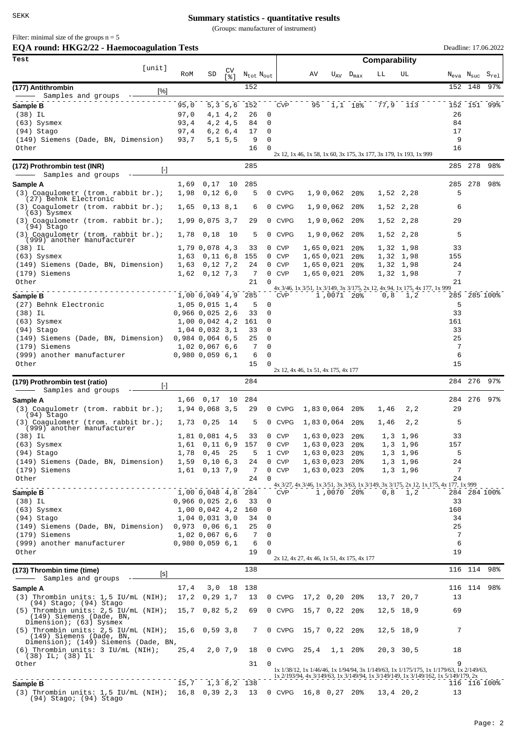## **Summary statistics - quantitative results**

(Groups: manufacturer of instrument)

| Filter: minimal size of the groups $n = 5$ |  |
|--------------------------------------------|--|
|--------------------------------------------|--|

| EOA round: HKG2/22 - Haemocoagulation Tests                                                                 | Deadline: 17.06.2022 |                                         |                          |                                   |                   |                          |                                                                            |            |                                    |               |                                      |                                                                                                                                                                                 |                                                    |              |
|-------------------------------------------------------------------------------------------------------------|----------------------|-----------------------------------------|--------------------------|-----------------------------------|-------------------|--------------------------|----------------------------------------------------------------------------|------------|------------------------------------|---------------|--------------------------------------|---------------------------------------------------------------------------------------------------------------------------------------------------------------------------------|----------------------------------------------------|--------------|
| Test<br>[unit]                                                                                              |                      |                                         |                          |                                   |                   |                          |                                                                            |            |                                    | Comparability |                                      |                                                                                                                                                                                 |                                                    |              |
|                                                                                                             | RoM                  | SD                                      | CV<br>531                | N <sub>tot</sub> N <sub>out</sub> |                   |                          | AV                                                                         |            | $U_{AV}$ $D_{max}$                 | LL            | UL                                   |                                                                                                                                                                                 | $N_{\text{eva}}$ $N_{\text{suc}}$ $S_{\text{rel}}$ |              |
| (177) Antithrombin<br>[%]                                                                                   |                      |                                         |                          | 152                               |                   |                          |                                                                            |            |                                    |               |                                      | 152                                                                                                                                                                             | 148                                                | 97%          |
| Samples and groups<br>Sample B                                                                              | 95,0                 |                                         | 5, 3, 5, 6               | 152                               |                   | <b>CVP</b>               |                                                                            | 95 1,1 18% |                                    | 77,9          | 113                                  |                                                                                                                                                                                 |                                                    | 152 151 99%  |
| $(38)$ IL                                                                                                   | 97,0                 |                                         | 4, 1 4, 2                | 26                                | 0                 |                          |                                                                            |            |                                    |               |                                      | 26                                                                                                                                                                              |                                                    |              |
| $(63)$ Sysmex                                                                                               | 93,4<br>97,4         |                                         | 4, 2, 4, 5               | 84<br>17                          | 0<br>0            |                          |                                                                            |            |                                    |               |                                      | 84<br>17                                                                                                                                                                        |                                                    |              |
| (94) Stago<br>(149) Siemens (Dade, BN, Dimension)                                                           | 93,7                 |                                         | 6, 2, 6, 4<br>5, 1, 5, 5 | 9                                 | 0                 |                          |                                                                            |            |                                    |               |                                      | 9                                                                                                                                                                               |                                                    |              |
| Other                                                                                                       |                      |                                         |                          | 16                                | $\Omega$          |                          | 2x 12, 1x 46, 1x 58, 1x 60, 3x 175, 3x 177, 3x 179, 1x 193, 1x 999         |            |                                    |               |                                      | 16                                                                                                                                                                              |                                                    |              |
| (172) Prothrombin test (INR)                                                                                |                      |                                         |                          | 285                               |                   |                          |                                                                            |            |                                    |               |                                      |                                                                                                                                                                                 | 285 278                                            | 98%          |
| $[\cdot]$<br>Samples and groups                                                                             |                      |                                         |                          |                                   |                   |                          |                                                                            |            |                                    |               |                                      |                                                                                                                                                                                 |                                                    |              |
| Sample A<br>$(3)$ Coagulometr (trom. rabbit br.);                                                           | 1,69<br>1,98         | 0,17<br>0,12,6,0                        | 10                       | 285<br>5                          |                   | 0 CVPG                   | 1,90,062                                                                   |            | 20 <sub>8</sub>                    |               | 1,52 2,28                            | 5                                                                                                                                                                               | 285 278                                            | 98%          |
| (27) Behnk Electronic                                                                                       |                      |                                         |                          |                                   |                   |                          |                                                                            |            |                                    |               |                                      |                                                                                                                                                                                 |                                                    |              |
| (3) Coagulometr (trom. rabbit br.);<br>$(63)$ Sysmex                                                        | 1,65                 | 0,13,8,1                                |                          | 6                                 | $\mathbf{0}$      | <b>CVPG</b>              | 1,90,062                                                                   |            | 20%                                |               | 1,52 2,28                            | 6                                                                                                                                                                               |                                                    |              |
| $(3)$ Coagulometr (trom. rabbit br.);<br>(94) Stago                                                         |                      | 1,99 0,075 3,7                          |                          | 29                                |                   | 0 CVPG                   | 1,90,062                                                                   |            | 20%                                |               | 1,52 2,28                            | 29                                                                                                                                                                              |                                                    |              |
| (3) Coagulometr (trom. rabbit br.);<br>(999) another manufacturer                                           | 1,78                 | 0,18                                    | 10                       | 5                                 |                   | 0 CVPG                   | 1,90,062                                                                   |            | $20\%$                             |               | 1,52 2,28                            | 5                                                                                                                                                                               |                                                    |              |
| $(38)$ IL<br>$(63)$ Sysmex                                                                                  | 1,63                 | 1,79 0,078 4,3<br>$0,11$ 6,8            |                          | 33<br>155                         | 0<br>$\mathbf{0}$ | <b>CVP</b><br><b>CVP</b> | 1,65 0,021<br>1,65 0,021                                                   |            | 20 <sub>8</sub><br>20 <sub>8</sub> |               | 1,32 1,98<br>1,32 1,98               | 33<br>155                                                                                                                                                                       |                                                    |              |
| (149) Siemens (Dade, BN, Dimension)                                                                         | 1,63                 | 0,12,7,2                                |                          | 24                                | 0                 | <b>CVP</b>               | 1,65 0,021                                                                 |            | $20\%$                             |               | 1,32 1,98                            | 24                                                                                                                                                                              |                                                    |              |
| (179) Siemens                                                                                               | 1,62                 | 0, 12, 7, 3                             |                          | 7                                 | 0                 | <b>CVP</b>               | 1,65 0,021 20%                                                             |            |                                    |               | 1,32 1,98                            | 7                                                                                                                                                                               |                                                    |              |
| Other                                                                                                       |                      |                                         |                          | 21                                | $\Omega$          |                          | 4x 3/46, 1x 3/51, 1x 3/149, 3x 3/175, 2x 12, 4x 94, 1x 175, 4x 177, 1x 999 |            |                                    |               |                                      | 21                                                                                                                                                                              |                                                    |              |
| Sample B                                                                                                    |                      | 1,000,0494,9                            |                          | 285                               |                   | <b>CVP</b>               |                                                                            | 1,0071 20% |                                    | 0, 8          | 1,2                                  |                                                                                                                                                                                 |                                                    | 285 285 100% |
| (27) Behnk Electronic                                                                                       |                      | 1,05 0,015 1,4                          |                          | 5                                 | 0                 |                          |                                                                            |            |                                    |               |                                      | 5                                                                                                                                                                               |                                                    |              |
| $(38)$ IL<br>$(63)$ Sysmex                                                                                  |                      | $0,966$ $0,025$ 2,6<br>$1,00$ 0,042 4,2 |                          | 33<br>161                         | 0<br>0            |                          |                                                                            |            |                                    |               |                                      | 33<br>161                                                                                                                                                                       |                                                    |              |
| (94) Stago                                                                                                  |                      | 1,04 0,032 3,1                          |                          | 33                                | 0                 |                          |                                                                            |            |                                    |               |                                      | 33                                                                                                                                                                              |                                                    |              |
| (149) Siemens (Dade, BN, Dimension)                                                                         |                      | $0,984$ 0,064 6,5                       |                          | 25                                | 0                 |                          |                                                                            |            |                                    |               |                                      | 25                                                                                                                                                                              |                                                    |              |
| (179) Siemens<br>(999) another manufacturer                                                                 |                      | 1,02 0,067 6,6<br>$0,980$ $0,059$ $6,1$ |                          | 7<br>6                            | 0<br>0            |                          |                                                                            |            |                                    |               |                                      | 7<br>6                                                                                                                                                                          |                                                    |              |
| Other                                                                                                       |                      |                                         |                          | 15                                | 0                 |                          | 2x 12, 4x 46, 1x 51, 4x 175, 4x 177                                        |            |                                    |               |                                      | 15                                                                                                                                                                              |                                                    |              |
| (179) Prothrombin test (ratio)<br>$[\cdot]$                                                                 |                      |                                         |                          | 284                               |                   |                          |                                                                            |            |                                    |               |                                      | 284                                                                                                                                                                             | 276                                                | $97\%$       |
| Samples and groups                                                                                          | 1,66                 | 0,17                                    | 10                       | 284                               |                   |                          |                                                                            |            |                                    |               |                                      |                                                                                                                                                                                 |                                                    | 284 276 97%  |
| Sample A<br>$(3)$ Coagulometr (trom. rabbit br.);                                                           |                      | 1,94 0,068 3,5                          |                          | 29                                |                   | 0 CVPG                   | 1,830,064                                                                  |            | 20%                                | 1,46          | 2, 2                                 | 29                                                                                                                                                                              |                                                    |              |
| (94) Stago<br>(3) Coagulometr (trom. rabbit br.);                                                           | 1,73                 | 0,25                                    | 14                       | 5                                 |                   | 0 CVPG                   | 1,830,064                                                                  |            | 20%                                | 1,46          | 2, 2                                 | 5                                                                                                                                                                               |                                                    |              |
| (999) another manufacturer                                                                                  |                      |                                         |                          |                                   |                   |                          |                                                                            |            |                                    |               |                                      |                                                                                                                                                                                 |                                                    |              |
| (38) IL<br>$(63)$ Sysmex                                                                                    | 1,61                 | 1,81 0,081 4,5<br>$0,11$ 6,9 157        |                          | 33                                | $\mathbf{0}$      | <b>CVP</b><br>0 CVP      | 1,63 0,023 20%<br>1,63 0,023 20%                                           |            |                                    |               | $1,3 \quad 1,96$<br>$1,3 \quad 1,96$ | 33<br>157                                                                                                                                                                       |                                                    |              |
| (94) Stago                                                                                                  | 1,78                 | 0,45                                    | 25                       | 5                                 |                   | 1 CVP                    | 1,630,023                                                                  |            | 20 <sup>8</sup>                    |               | $1,3 \quad 1,96$                     | 5                                                                                                                                                                               |                                                    |              |
| (149) Siemens (Dade, BN, Dimension)                                                                         |                      | $1,59$ 0,10 6,3                         |                          | 24                                | $\mathbf{0}$      | <b>CVP</b>               | 1,630,023                                                                  |            | 20 <sub>8</sub>                    |               | $1,3 \quad 1,96$                     | 24                                                                                                                                                                              |                                                    |              |
| (179) Siemens<br>Other                                                                                      |                      | $1,61$ 0,13 7,9                         |                          | 7<br>24                           | 0<br>0            | <b>CVP</b>               | 1,63 0,023 20%                                                             |            |                                    |               | $1,3 \quad 1,96$                     | 7<br>24                                                                                                                                                                         |                                                    |              |
|                                                                                                             |                      | 1,00 0,048 4,8 284                      |                          |                                   |                   | <b>CVP</b>               |                                                                            |            | 1,0070 20%                         |               | $0,8$ 1,2                            | 4x 3/27, 4x 3/46, 1x 3/51, 3x 3/63, 1x 3/149, 3x 3/175, 2x 12, 1x 175, 4x 177, 1x 999                                                                                           |                                                    | 284 284 100% |
| Sample B<br>(38) IL                                                                                         |                      | $0,966$ $0,025$ 2,6                     |                          | 33                                | 0                 |                          |                                                                            |            |                                    |               |                                      | 33                                                                                                                                                                              |                                                    |              |
| $(63)$ Sysmex                                                                                               |                      | $1,00$ 0,042 4,2                        |                          | 160                               | 0                 |                          |                                                                            |            |                                    |               |                                      | 160                                                                                                                                                                             |                                                    |              |
| (94) Stago                                                                                                  |                      | 1,04 0,031 3,0                          |                          | 34                                | 0                 |                          |                                                                            |            |                                    |               |                                      | 34                                                                                                                                                                              |                                                    |              |
| (149) Siemens (Dade, BN, Dimension)<br>(179) Siemens                                                        |                      | $0,973$ $0,06$ $6,1$<br>1,02 0,067 6,6  |                          | 25<br>7                           | 0<br>0            |                          |                                                                            |            |                                    |               |                                      | 25<br>7                                                                                                                                                                         |                                                    |              |
| (999) another manufacturer                                                                                  |                      | $0,980$ $0,059$ $6,1$                   |                          | 6                                 | $\mathbf 0$       |                          |                                                                            |            |                                    |               |                                      | 6                                                                                                                                                                               |                                                    |              |
| Other                                                                                                       |                      |                                         |                          | 19                                | $\Omega$          |                          | 2x 12, 4x 27, 4x 46, 1x 51, 4x 175, 4x 177                                 |            |                                    |               |                                      | 19                                                                                                                                                                              |                                                    |              |
| (173) Thrombin time (time)<br>[s]                                                                           |                      |                                         |                          | 138                               |                   |                          |                                                                            |            |                                    |               |                                      |                                                                                                                                                                                 |                                                    | 116 114 98%  |
| Samples and groups -<br>Sample A                                                                            | 17,4                 |                                         |                          | 3,0 18 138                        |                   |                          |                                                                            |            |                                    |               |                                      |                                                                                                                                                                                 |                                                    | 116 114 98%  |
| $(3)$ Thrombin units: 1,5 IU/mL $(NIH)$ ;                                                                   |                      | $17,2$ 0,29 1,7                         |                          | 13                                |                   | 0 CVPG                   | $17,2$ 0,20 20%                                                            |            |                                    |               | 13,7 20,7                            | 13                                                                                                                                                                              |                                                    |              |
| (94) Stago; (94) Stago<br>(5) Thrombin units: $2,5$ IU/mL (NIH); 15,7 0,82 5,2<br>(149) Siemens (Dade, BN,  |                      |                                         |                          | 69                                |                   | 0 CVPG                   | 15,7 0,22 20%                                                              |            |                                    |               | $12,5$ 18,9                          | 69                                                                                                                                                                              |                                                    |              |
| Dimension); (63) Sysmex<br>$(5)$ Thrombin units: 2,5 IU/mL (NIH); 15,6 0,59 3,8<br>(149) Siemens (Dade, BN, |                      |                                         |                          | 7                                 |                   | 0 CVPG                   | 15,7 0,22 20%                                                              |            |                                    |               | $12,5$ 18,9                          | 7                                                                                                                                                                               |                                                    |              |
| Dimension); (149) Siemens (Dade, BN,<br>$(6)$ Thrombin units: $3$ IU/mL $(NIH)$ ;                           | 25,4                 |                                         | 2,0,7,9                  | 18                                |                   | 0 CVPG                   | $25, 4$ 1, 1 20%                                                           |            |                                    |               | $20, 3$ 30,5                         | 18                                                                                                                                                                              |                                                    |              |
| $(38)$ IL; $(38)$ IL<br>Other                                                                               |                      |                                         |                          | 31                                | 0                 |                          |                                                                            |            |                                    |               |                                      | 9                                                                                                                                                                               |                                                    |              |
|                                                                                                             |                      |                                         |                          |                                   |                   |                          |                                                                            |            |                                    |               |                                      | 1x 1/38/12, 1x 1/46/46, 1x 1/94/94, 3x 1/149/63, 1x 1/175/175, 1x 1/179/63, 1x 2/149/63,<br>1x 2/193/94, 4x 3/149/63, 1x 3/149/94, 1x 3/149/149, 1x 3/149/162, 1x 5/149/179, 2x |                                                    |              |
| Sample B                                                                                                    |                      | $15,7$ 1,3 8,2 138                      |                          |                                   |                   |                          |                                                                            |            |                                    |               |                                      |                                                                                                                                                                                 |                                                    | 116 116 100% |
| (3) Thrombin units: $1,5$ IU/mL (NIH); 16,8 0,39 2,3 13<br>(94) Stago; (94) Stago                           |                      |                                         |                          |                                   |                   |                          | 0 CVPG 16,8 0,27 20%                                                       |            |                                    |               | 13,4 20,2                            | 13                                                                                                                                                                              |                                                    |              |